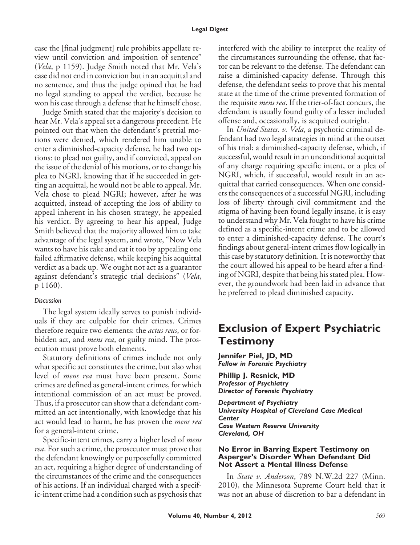case the [final judgment] rule prohibits appellate review until conviction and imposition of sentence" (*Vela*, p 1159). Judge Smith noted that Mr. Vela's case did not end in conviction but in an acquittal and no sentence, and thus the judge opined that he had no legal standing to appeal the verdict, because he won his case through a defense that he himself chose.

Judge Smith stated that the majority's decision to hear Mr. Vela's appeal set a dangerous precedent. He pointed out that when the defendant's pretrial motions were denied, which rendered him unable to enter a diminished-capacity defense, he had two options: to plead not guilty, and if convicted, appeal on the issue of the denial of his motions, or to change his plea to NGRI, knowing that if he succeeded in getting an acquittal, he would not be able to appeal. Mr. Vela chose to plead NGRI; however, after he was acquitted, instead of accepting the loss of ability to appeal inherent in his chosen strategy, he appealed his verdict. By agreeing to hear his appeal, Judge Smith believed that the majority allowed him to take advantage of the legal system, and wrote, "Now Vela wants to have his cake and eat it too by appealing one failed affirmative defense, while keeping his acquittal verdict as a back up. We ought not act as a guarantor against defendant's strategic trial decisions" (*Vela*, p 1160).

### *Discussion*

The legal system ideally serves to punish individuals if they are culpable for their crimes. Crimes therefore require two elements: the *actus reus*, or forbidden act, and *mens rea*, or guilty mind. The prosecution must prove both elements.

Statutory definitions of crimes include not only what specific act constitutes the crime, but also what level of *mens rea* must have been present. Some crimes are defined as general-intent crimes, for which intentional commission of an act must be proved. Thus, if a prosecutor can show that a defendant committed an act intentionally, with knowledge that his act would lead to harm, he has proven the *mens rea* for a general-intent crime.

Specific-intent crimes, carry a higher level of *mens rea*. For such a crime, the prosecutor must prove that the defendant knowingly or purposefully committed an act, requiring a higher degree of understanding of the circumstances of the crime and the consequences of his actions. If an individual charged with a specific-intent crime had a condition such as psychosis that interfered with the ability to interpret the reality of the circumstances surrounding the offense, that factor can be relevant to the defense. The defendant can raise a diminished-capacity defense. Through this defense, the defendant seeks to prove that his mental state at the time of the crime prevented formation of the requisite *mens rea*. If the trier-of-fact concurs, the defendant is usually found guilty of a lesser included offense and, occasionally, is acquitted outright.

In *United States. v. Vela*, a psychotic criminal defendant had two legal strategies in mind at the outset of his trial: a diminished-capacity defense, which, if successful, would result in an unconditional acquittal of any charge requiring specific intent, or a plea of NGRI, which, if successful, would result in an acquittal that carried consequences. When one considers the consequences of a successful NGRI, including loss of liberty through civil commitment and the stigma of having been found legally insane, it is easy to understand why Mr. Vela fought to have his crime defined as a specific-intent crime and to be allowed to enter a diminished-capacity defense. The court's findings about general-intent crimes flow logically in this case by statutory definition. It is noteworthy that the court allowed his appeal to be heard after a finding of NGRI, despite that being his stated plea. However, the groundwork had been laid in advance that he preferred to plead diminished capacity.

# **Exclusion of Expert Psychiatric Testimony**

**Jennifer Piel, JD, MD** *Fellow in Forensic Psychiatry*

**Phillip J. Resnick, MD** *Professor of Psychiatry Director of Forensic Psychiatry*

*Department of Psychiatry University Hospital of Cleveland Case Medical Center Case Western Reserve University Cleveland, OH*

#### **No Error in Barring Expert Testimony on Asperger's Disorder When Defendant Did Not Assert a Mental Illness Defense**

In *State v. Anderson*, 789 N.W.2d 227 (Minn. 2010), the Minnesota Supreme Court held that it was not an abuse of discretion to bar a defendant in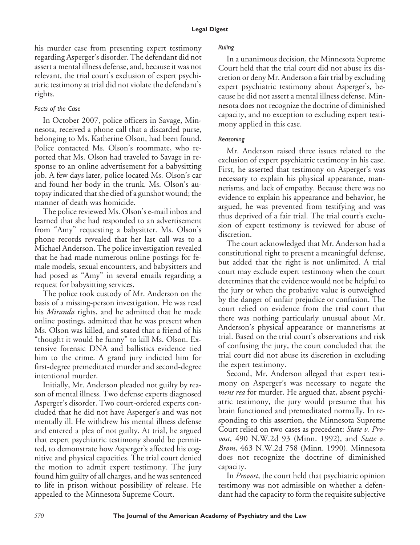his murder case from presenting expert testimony regarding Asperger's disorder. The defendant did not assert a mental illness defense, and, because it was not relevant, the trial court's exclusion of expert psychiatric testimony at trial did not violate the defendant's rights.

# *Facts of the Case*

In October 2007, police officers in Savage, Minnesota, received a phone call that a discarded purse, belonging to Ms. Katherine Olson, had been found. Police contacted Ms. Olson's roommate, who reported that Ms. Olson had traveled to Savage in response to an online advertisement for a babysitting job. A few days later, police located Ms. Olson's car and found her body in the trunk. Ms. Olson's autopsy indicated that she died of a gunshot wound; the manner of death was homicide.

The police reviewed Ms. Olson's e-mail inbox and learned that she had responded to an advertisement from "Amy" requesting a babysitter. Ms. Olson's phone records revealed that her last call was to a Michael Anderson. The police investigation revealed that he had made numerous online postings for female models, sexual encounters, and babysitters and had posed as "Amy" in several emails regarding a request for babysitting services.

The police took custody of Mr. Anderson on the basis of a missing-person investigation. He was read his *Miranda* rights, and he admitted that he made online postings, admitted that he was present when Ms. Olson was killed, and stated that a friend of his "thought it would be funny" to kill Ms. Olson. Extensive forensic DNA and ballistics evidence tied him to the crime. A grand jury indicted him for first-degree premeditated murder and second-degree intentional murder.

Initially, Mr. Anderson pleaded not guilty by reason of mental illness. Two defense experts diagnosed Asperger's disorder. Two court-ordered experts concluded that he did not have Asperger's and was not mentally ill. He withdrew his mental illness defense and entered a plea of not guilty. At trial, he argued that expert psychiatric testimony should be permitted, to demonstrate how Asperger's affected his cognitive and physical capacities. The trial court denied the motion to admit expert testimony. The jury found him guilty of all charges, and he was sentenced to life in prison without possibility of release. He appealed to the Minnesota Supreme Court.

# *Ruling*

In a unanimous decision, the Minnesota Supreme Court held that the trial court did not abuse its discretion or deny Mr. Anderson a fair trial by excluding expert psychiatric testimony about Asperger's, because he did not assert a mental illness defense. Minnesota does not recognize the doctrine of diminished capacity, and no exception to excluding expert testimony applied in this case.

# *Reasoning*

Mr. Anderson raised three issues related to the exclusion of expert psychiatric testimony in his case. First, he asserted that testimony on Asperger's was necessary to explain his physical appearance, mannerisms, and lack of empathy. Because there was no evidence to explain his appearance and behavior, he argued, he was prevented from testifying and was thus deprived of a fair trial. The trial court's exclusion of expert testimony is reviewed for abuse of discretion.

The court acknowledged that Mr. Anderson had a constitutional right to present a meaningful defense, but added that the right is not unlimited. A trial court may exclude expert testimony when the court determines that the evidence would not be helpful to the jury or when the probative value is outweighed by the danger of unfair prejudice or confusion. The court relied on evidence from the trial court that there was nothing particularly unusual about Mr. Anderson's physical appearance or mannerisms at trial. Based on the trial court's observations and risk of confusing the jury, the court concluded that the trial court did not abuse its discretion in excluding the expert testimony.

Second, Mr. Anderson alleged that expert testimony on Asperger's was necessary to negate the *mens rea* for murder. He argued that, absent psychiatric testimony, the jury would presume that his brain functioned and premeditated normally. In responding to this assertion, the Minnesota Supreme Court relied on two cases as precedent: *State v. Provost*, 490 N.W.2d 93 (Minn. 1992), and *State v. Brom*, 463 N.W.2d 758 (Minn. 1990). Minnesota does not recognize the doctrine of diminished capacity.

In *Provost*, the court held that psychiatric opinion testimony was not admissible on whether a defendant had the capacity to form the requisite subjective